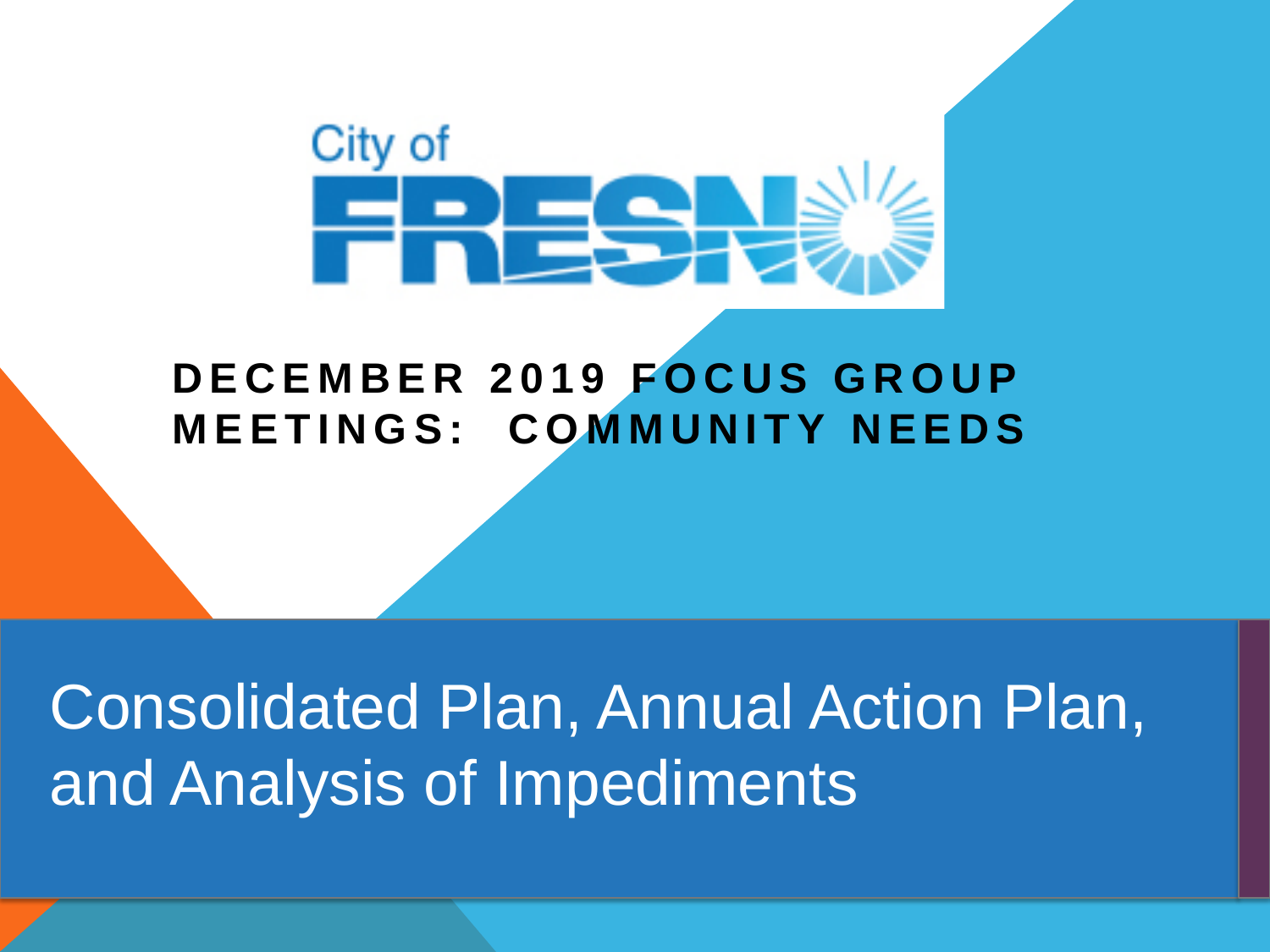

### **DECEMBER 2019 FOCUS GROUP MEETINGS: COMMUNITY NEEDS**

Consolidated Plan, Annual Action Plan, and Analysis of Impediments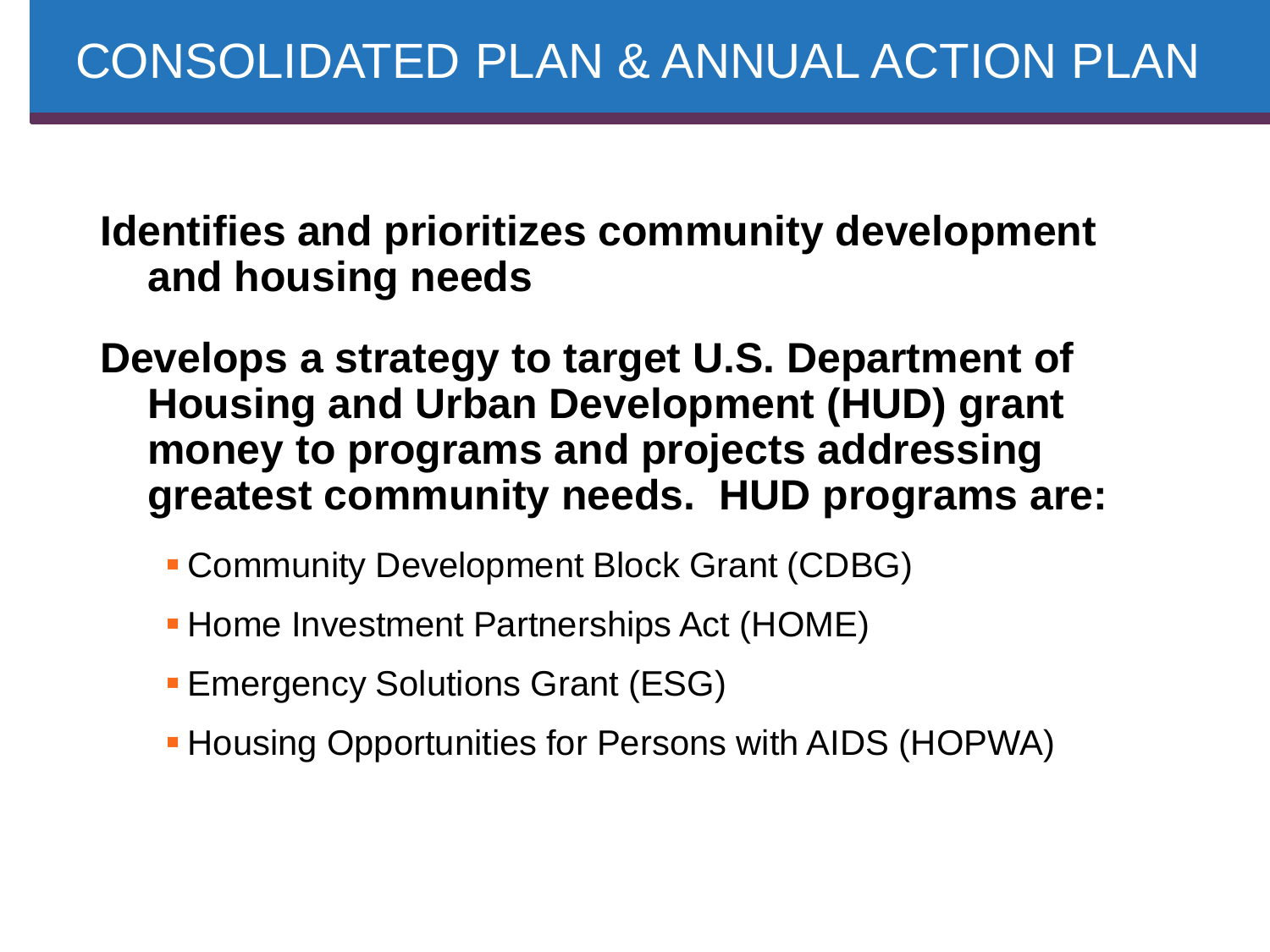**Identifies and prioritizes community development and housing needs**

**Develops a strategy to target U.S. Department of Housing and Urban Development (HUD) grant money to programs and projects addressing greatest community needs. HUD programs are:**

- Community Development Block Grant (CDBG)
- **Home Investment Partnerships Act (HOME)**
- **Emergency Solutions Grant (ESG)**
- **Housing Opportunities for Persons with AIDS (HOPWA)**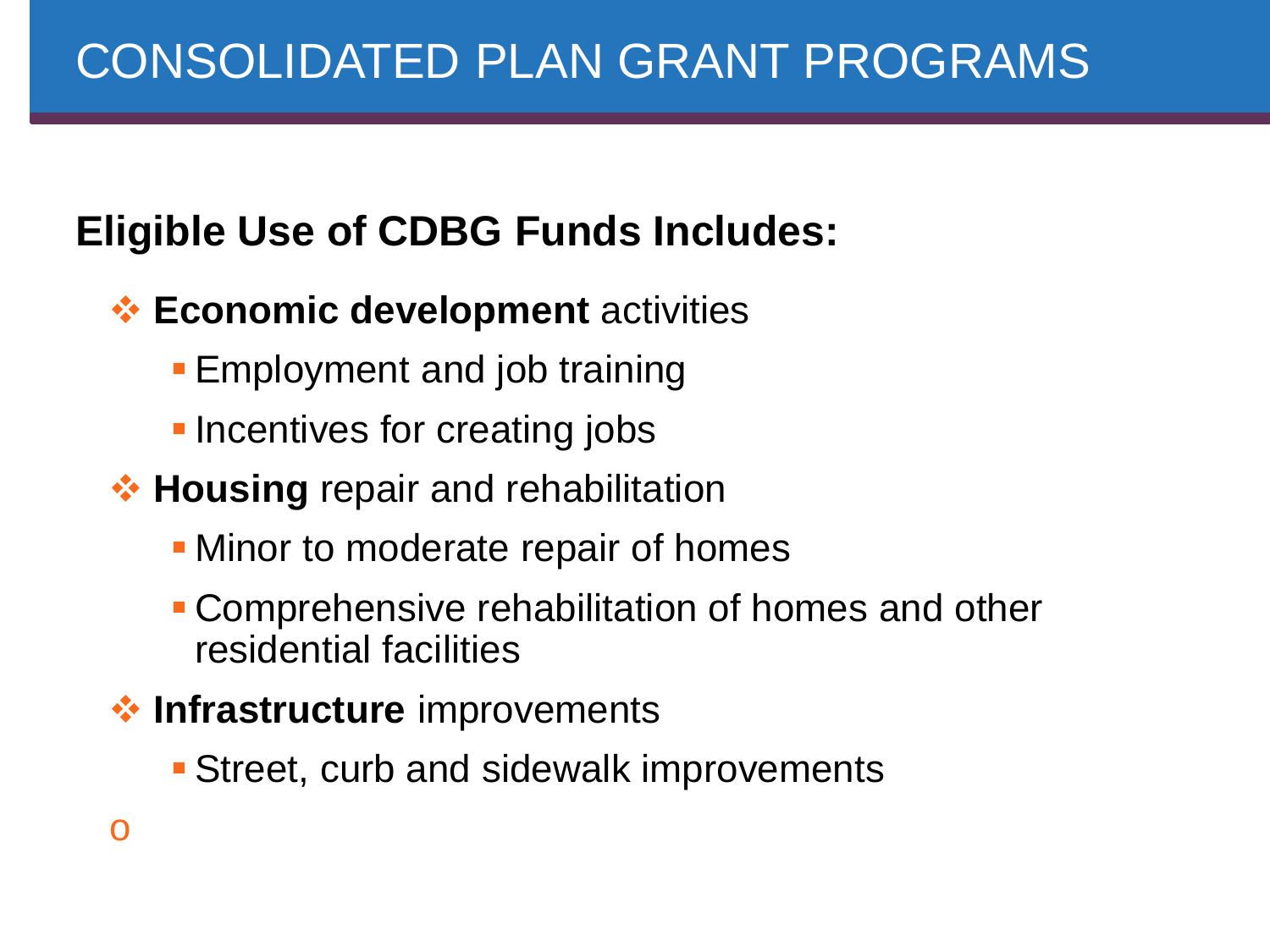# **Eligible Use of CDBG Funds Includes:**

- **Economic development** activities
	- **Employment and job training**
	- **-** Incentives for creating jobs
- **<sup>❖</sup> Housing** repair and rehabilitation
	- **Minor to moderate repair of homes**
	- Comprehensive rehabilitation of homes and other residential facilities
- **<sup>◆</sup> Infrastructure** improvements
	- Street, curb and sidewalk improvements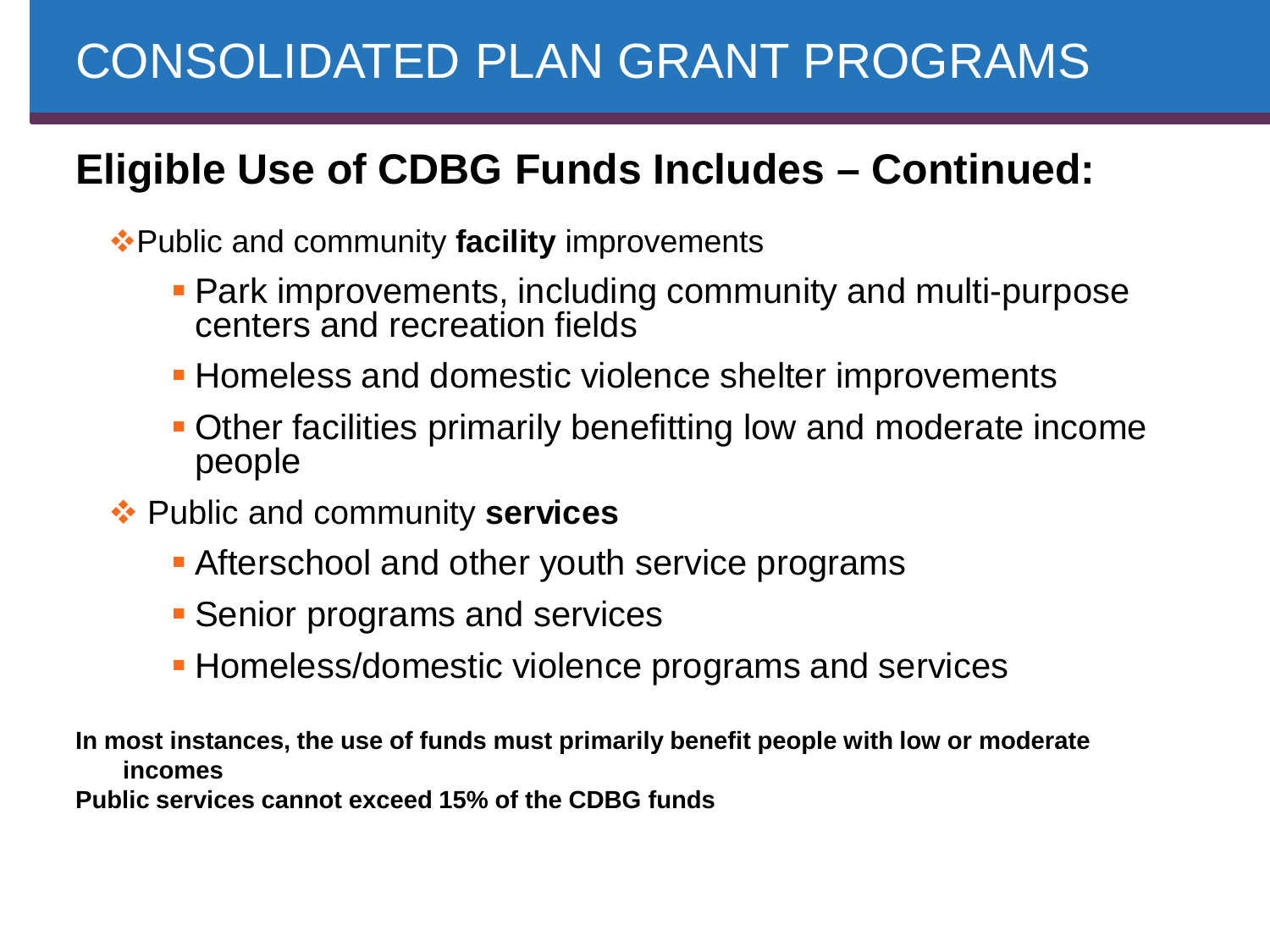# CONSOLIDATED PLAN GRANT PROGRAMS

### **Eligible Use of CDBG Funds Includes – Continued:**

Public and community **facility** improvements

- **Park improvements, including community and multi-purpose** centers and recreation fields
- **Homeless and domestic violence shelter improvements**
- Other facilities primarily benefitting low and moderate income people
- Public and community **services**
	- **Afterschool and other youth service programs**
	- **Senior programs and services**
	- **Homeless/domestic violence programs and services**

**In most instances, the use of funds must primarily benefit people with low or moderate incomes**

**Public services cannot exceed 15% of the CDBG funds**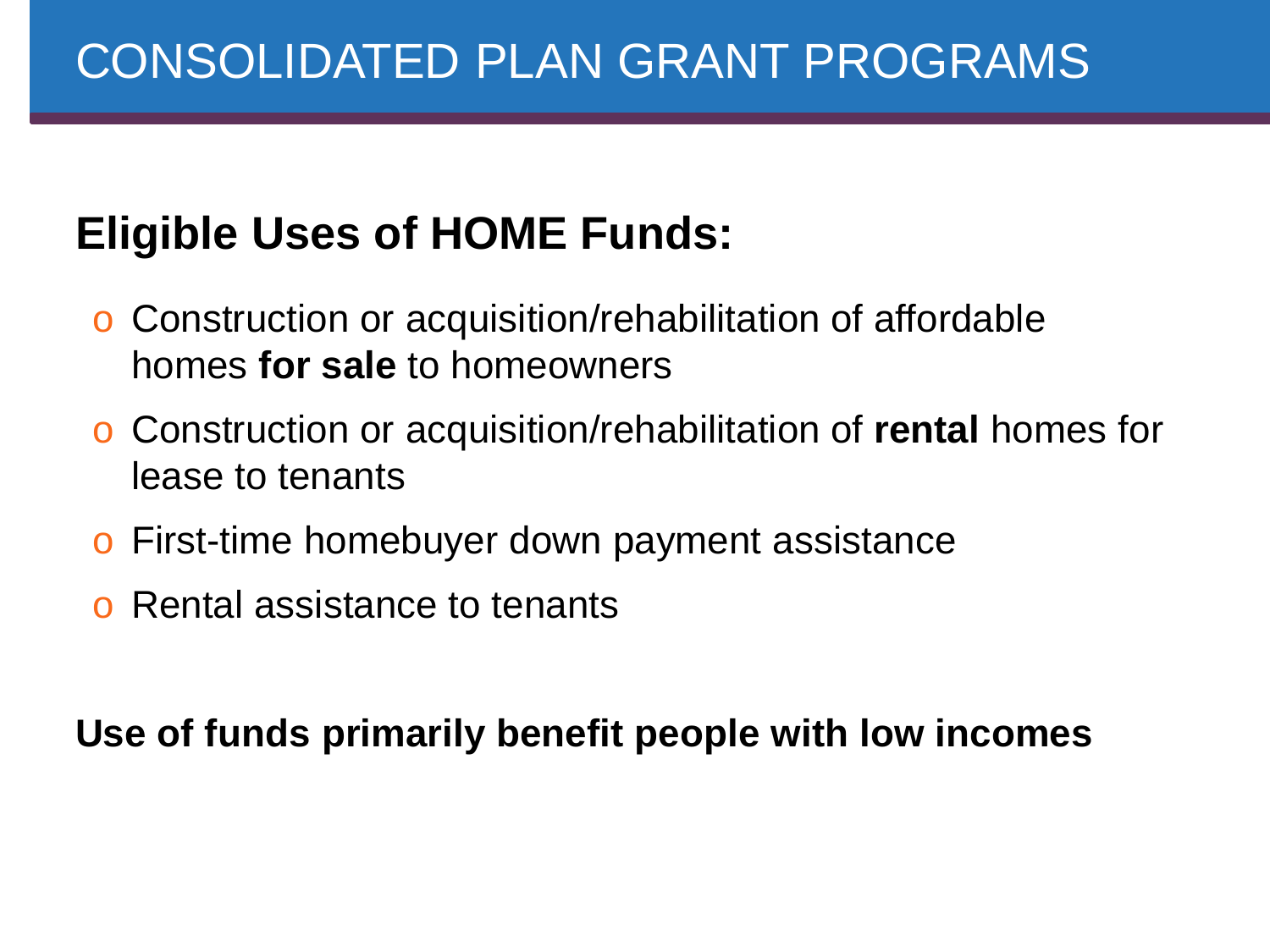# **Eligible Uses of HOME Funds:**

- o Construction or acquisition/rehabilitation of affordable homes **for sale** to homeowners
- o Construction or acquisition/rehabilitation of **rental** homes for lease to tenants
- o First-time homebuyer down payment assistance
- o Rental assistance to tenants

**Use of funds primarily benefit people with low incomes**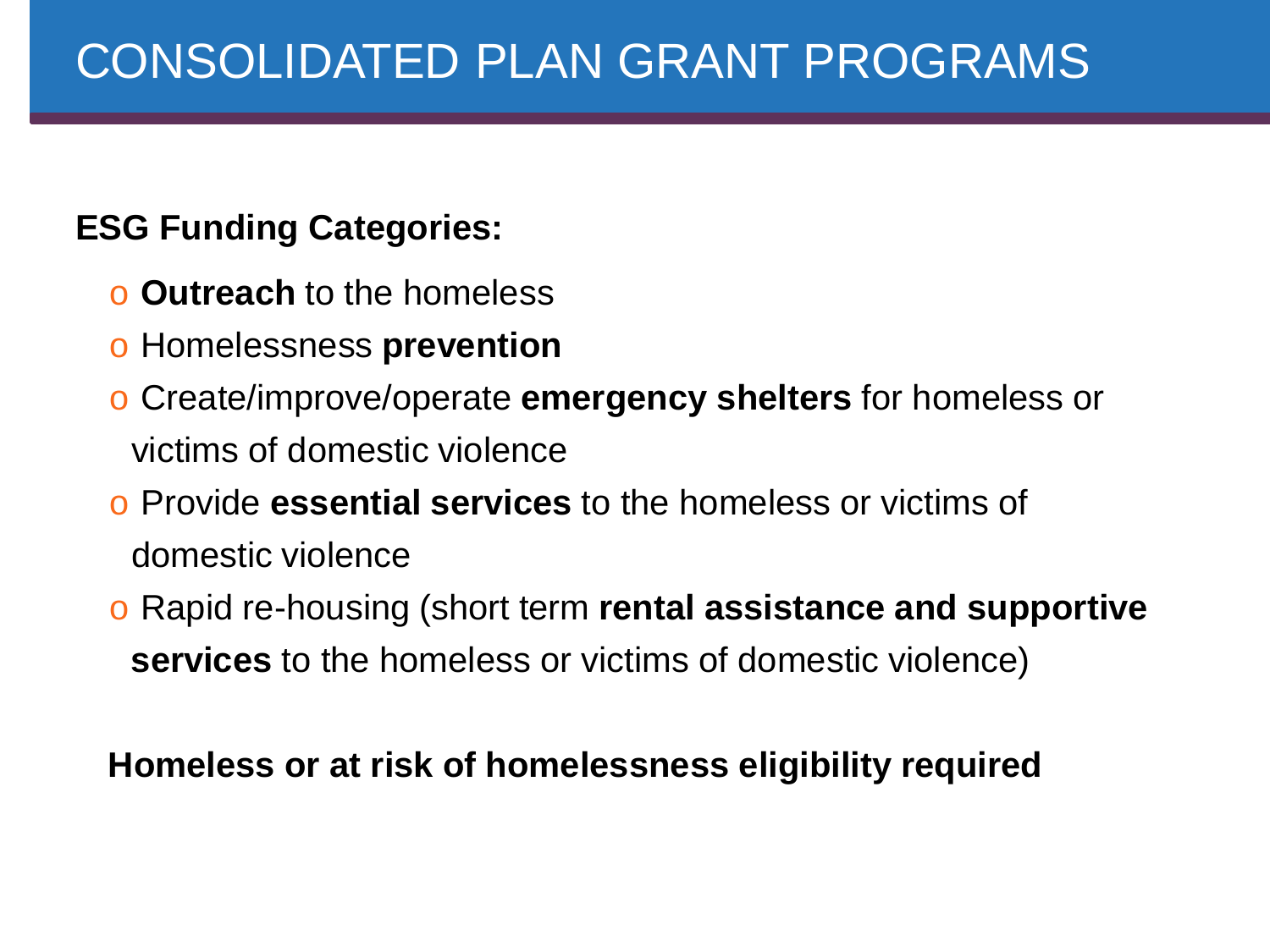#### **ESG Funding Categories:**

- o **Outreach** to the homeless
- o Homelessness **prevention**
- o Create/improve/operate **emergency shelters** for homeless or victims of domestic violence
- o Provide **essential services** to the homeless or victims of domestic violence
- o Rapid re-housing (short term **rental assistance and supportive services** to the homeless or victims of domestic violence)

#### **Homeless or at risk of homelessness eligibility required**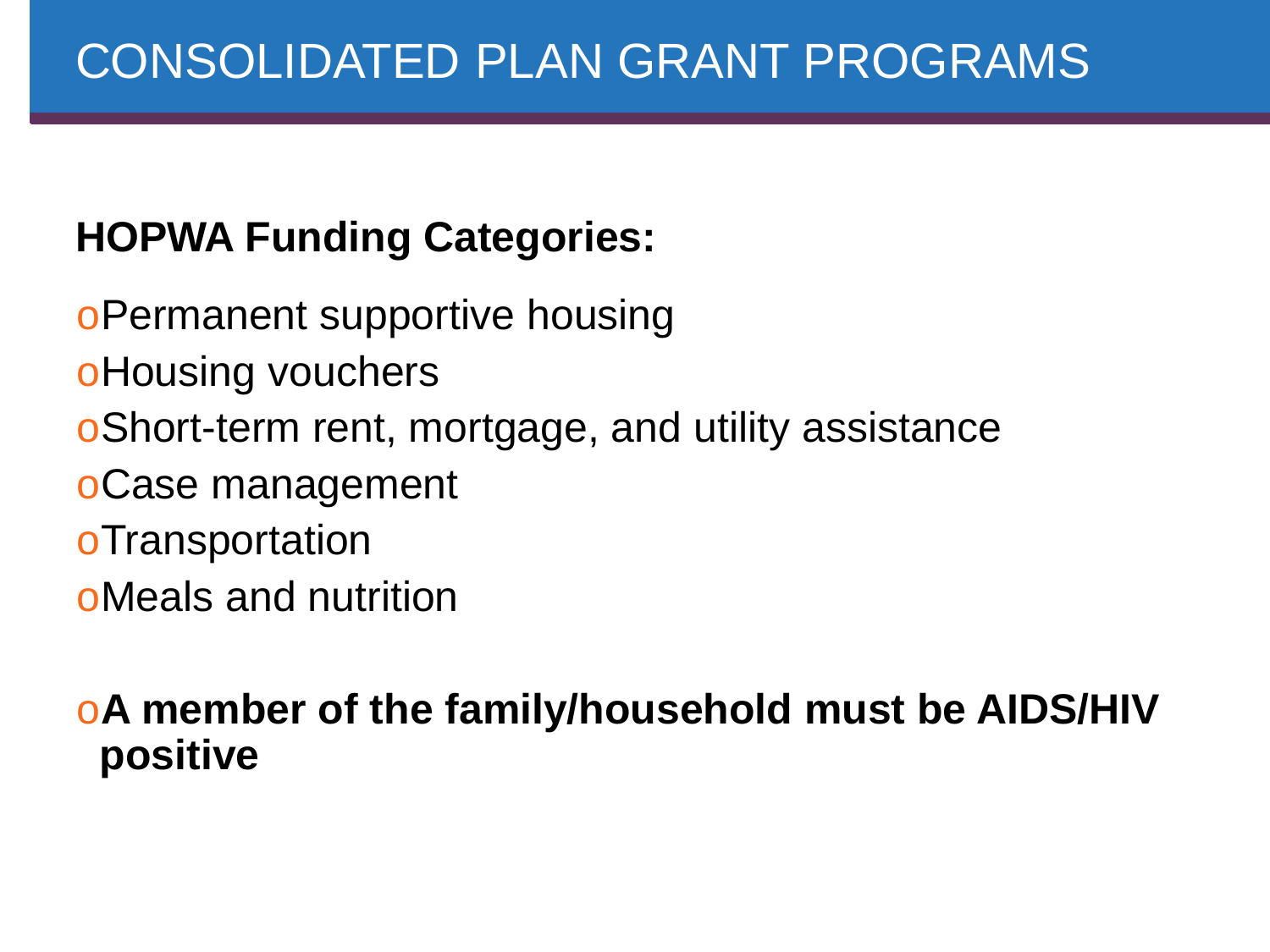# **HOPWA Funding Categories:**

oPermanent supportive housing

oHousing vouchers

oShort-term rent, mortgage, and utility assistance

oCase management

oTransportation

oMeals and nutrition

o**A member of the family/household must be AIDS/HIV positive**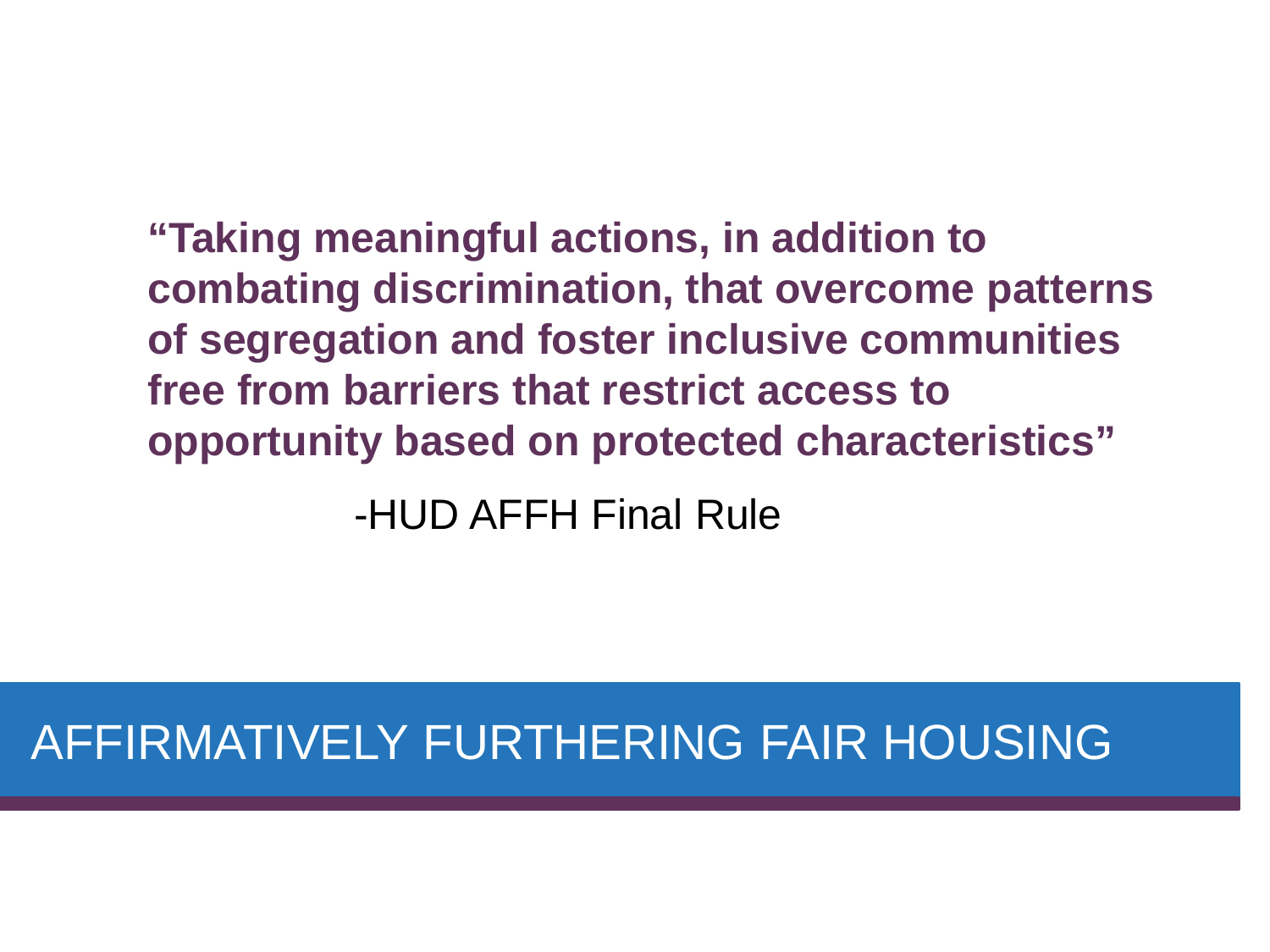**"Taking meaningful actions, in addition to combating discrimination, that overcome patterns of segregation and foster inclusive communities free from barriers that restrict access to opportunity based on protected characteristics"**

-HUD AFFH Final Rule

# AFFIRMATIVELY FURTHERING FAIR HOUSING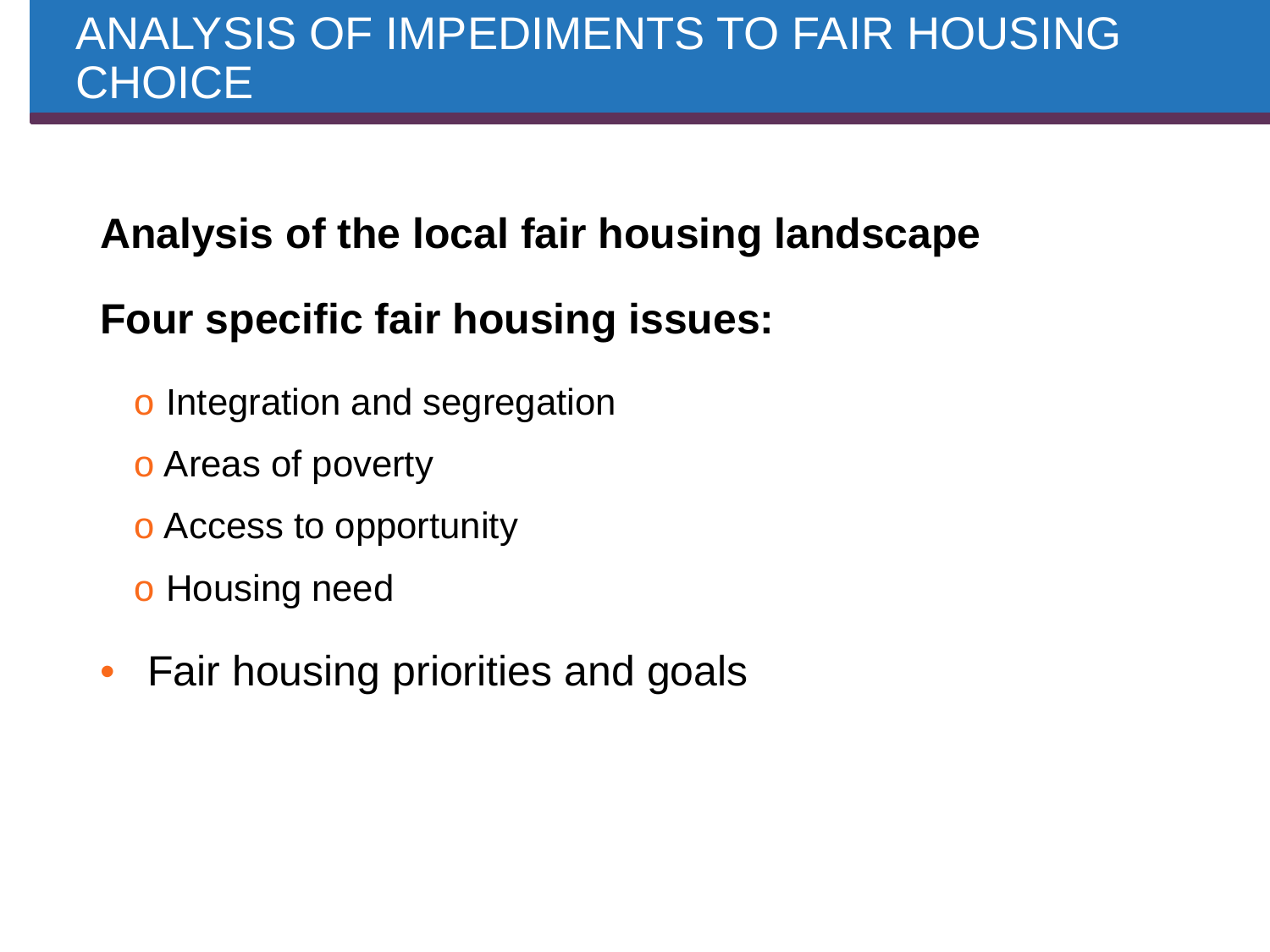## **Analysis of the local fair housing landscape**

## **Four specific fair housing issues:**

- o Integration and segregation
- o Areas of poverty
- o Access to opportunity
- o Housing need
- Fair housing priorities and goals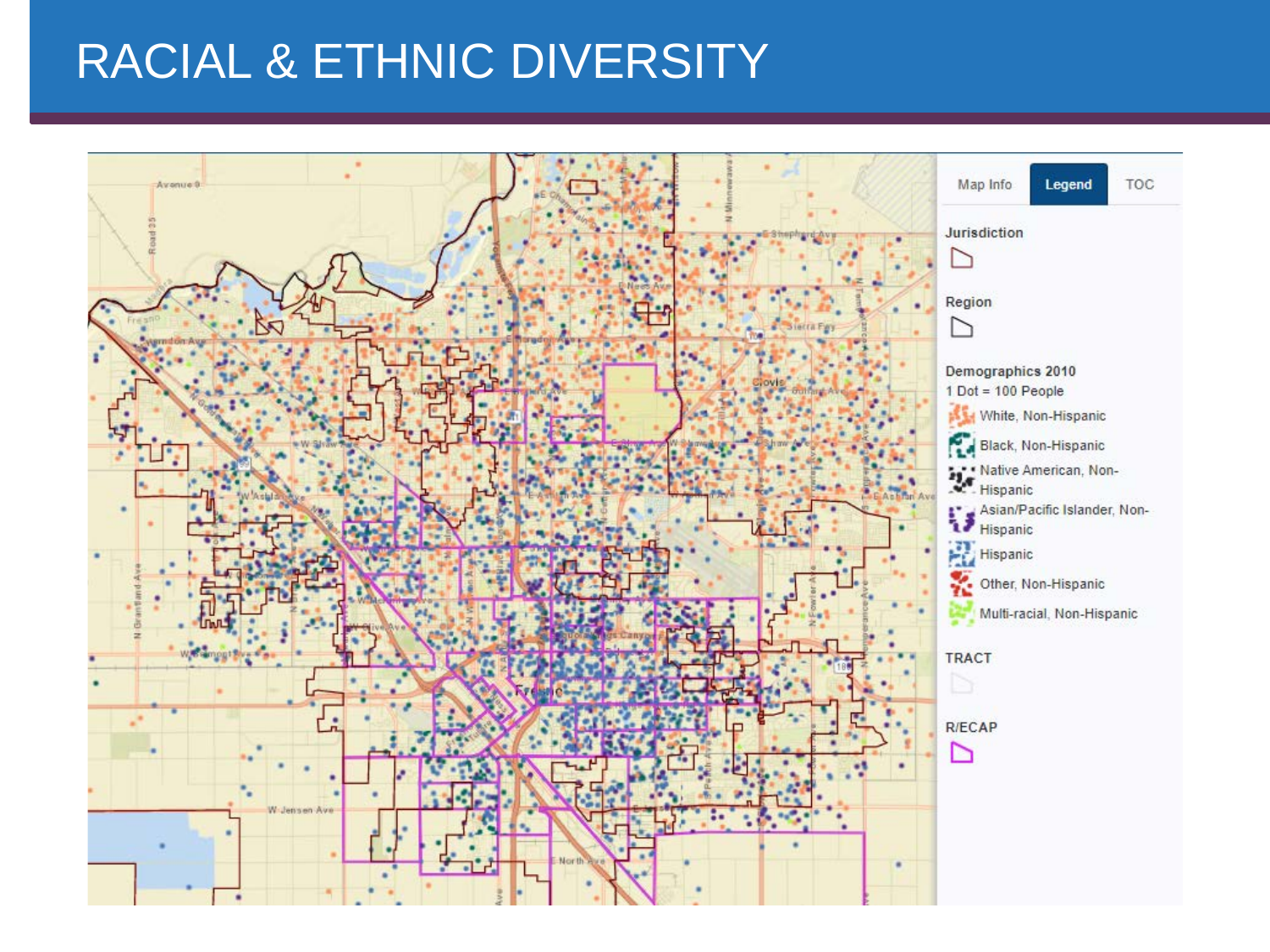# RACIAL & ETHNIC DIVERSITY

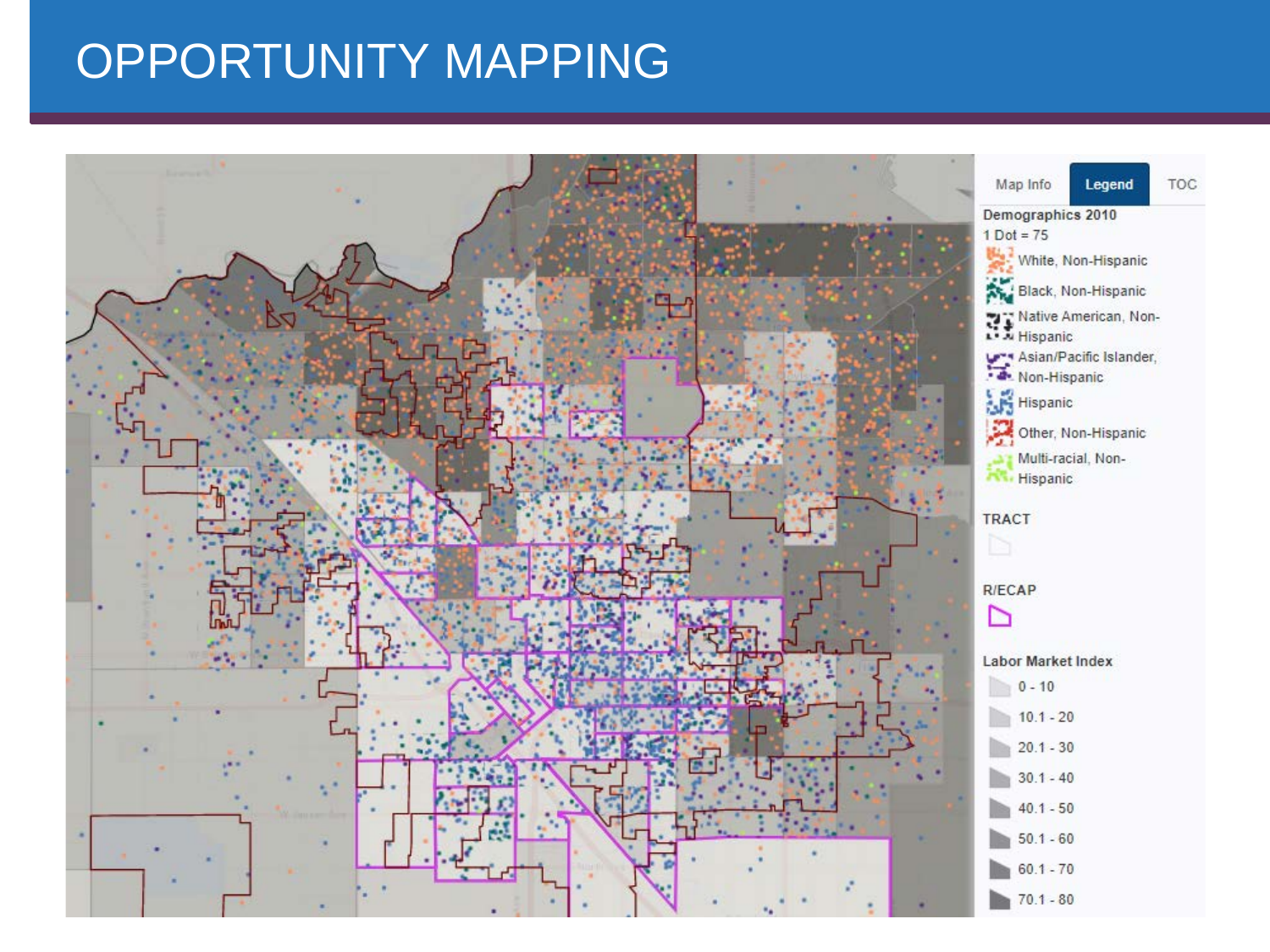# OPPORTUNITY MAPPING

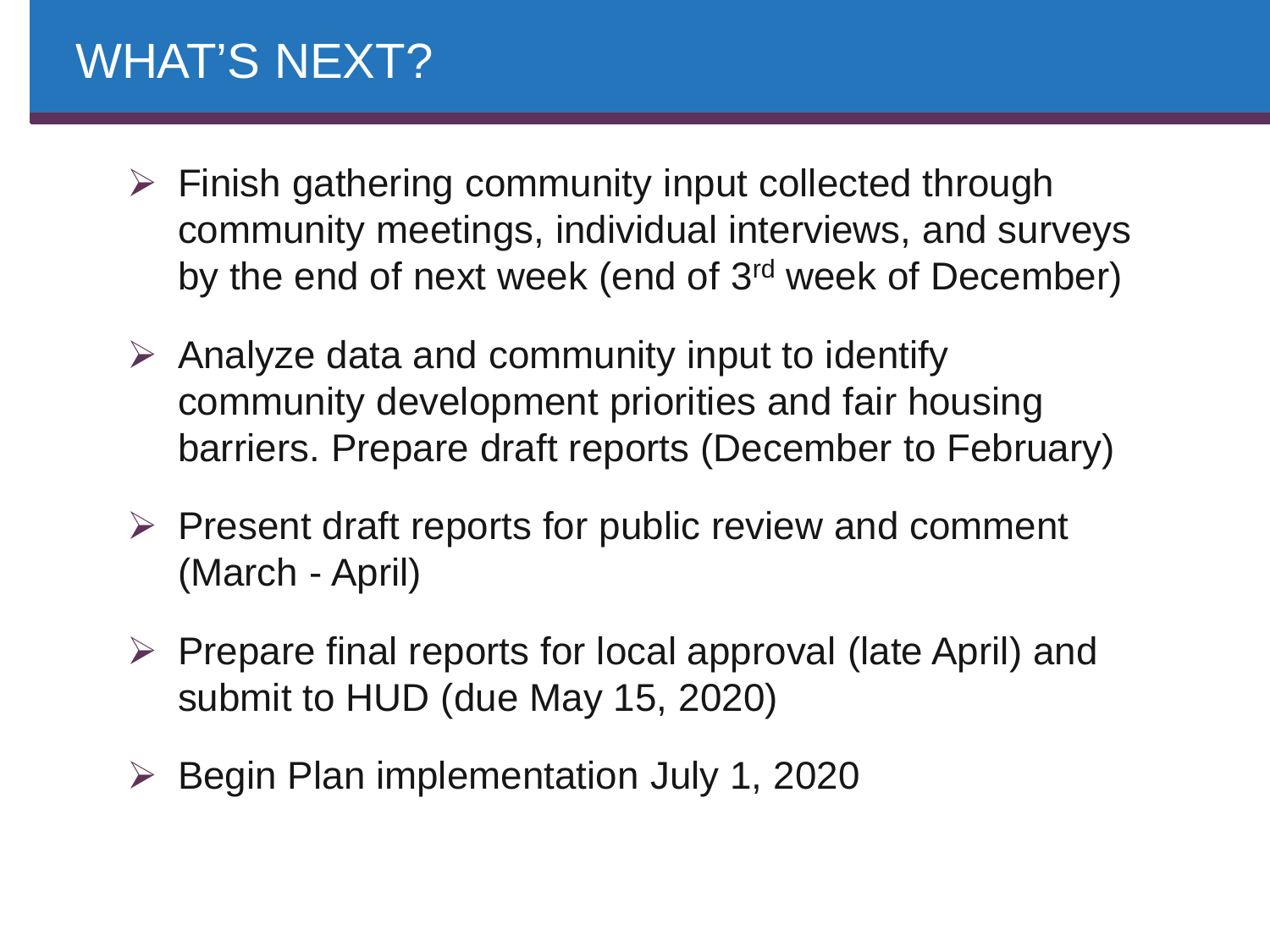# WHAT'S NEXT?

- $\triangleright$  Finish gathering community input collected through community meetings, individual interviews, and surveys by the end of next week (end of 3rd week of December)
- $\triangleright$  Analyze data and community input to identify community development priorities and fair housing barriers. Prepare draft reports (December to February)
- $\triangleright$  Present draft reports for public review and comment (March - April)
- $\triangleright$  Prepare final reports for local approval (late April) and submit to HUD (due May 15, 2020)
- $\triangleright$  Begin Plan implementation July 1, 2020